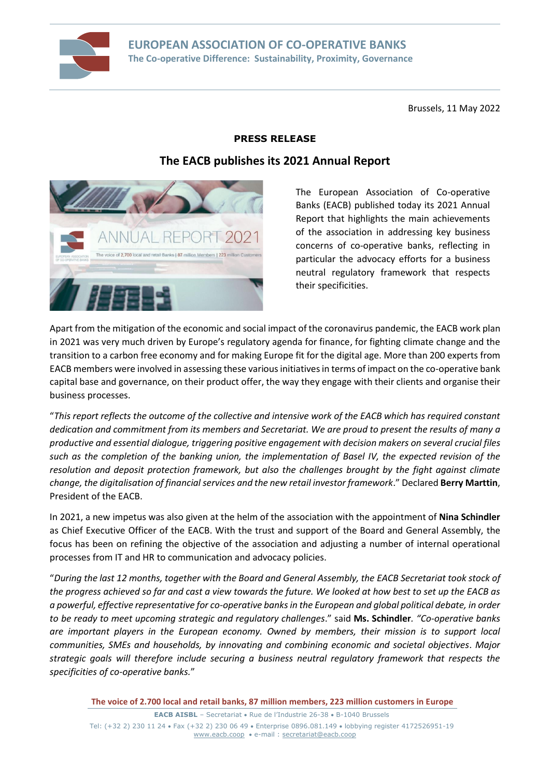

Brussels, 11 May 2022

## **PRESS RELEASE**

## **The EACB publishes its 2021 Annual Report**



The European Association of Co-operative Banks (EACB) published today its 2021 Annual Report that highlights the main achievements of the association in addressing key business concerns of co-operative banks, reflecting in particular the advocacy efforts for a business neutral regulatory framework that respects their specificities.

Apart from the mitigation of the economic and social impact of the coronavirus pandemic, the EACB work plan in 2021 was very much driven by Europe's regulatory agenda for finance, for fighting climate change and the transition to a carbon free economy and for making Europe fit for the digital age. More than 200 experts from EACB members were involved in assessing these various initiatives in terms of impact on the co-operative bank capital base and governance, on their product offer, the way they engage with their clients and organise their business processes.

"*This report reflects the outcome of the collective and intensive work of the EACB which has required constant dedication and commitment from its members and Secretariat. We are proud to present the results of many a productive and essential dialogue, triggering positive engagement with decision makers on several crucial files such as the completion of the banking union, the implementation of Basel IV, the expected revision of the resolution and deposit protection framework, but also the challenges brought by the fight against climate change, the digitalisation of financial services and the new retail investor framework*." Declared **Berry Marttin**, President of the EACB.

In 2021, a new impetus was also given at the helm of the association with the appointment of **Nina Schindler** as Chief Executive Officer of the EACB. With the trust and support of the Board and General Assembly, the focus has been on refining the objective of the association and adjusting a number of internal operational processes from IT and HR to communication and advocacy policies.

"*During the last 12 months, together with the Board and General Assembly, the EACB Secretariat took stock of the progress achieved so far and cast a view towards the future. We looked at how best to set up the EACB as a powerful, effective representative for co-operative banks in the European and global political debate, in order to be ready to meet upcoming strategic and regulatory challenges*." said **Ms. Schindler***. "Co-operative banks are important players in the European economy. Owned by members, their mission is to support local communities, SMEs and households, by innovating and combining economic and societal objectives*. *Major strategic goals will therefore include securing a business neutral regulatory framework that respects the specificities of co-operative banks.*"

**The voice of 2.700 local and retail banks, 87 million members, 223 million customers in Europe**